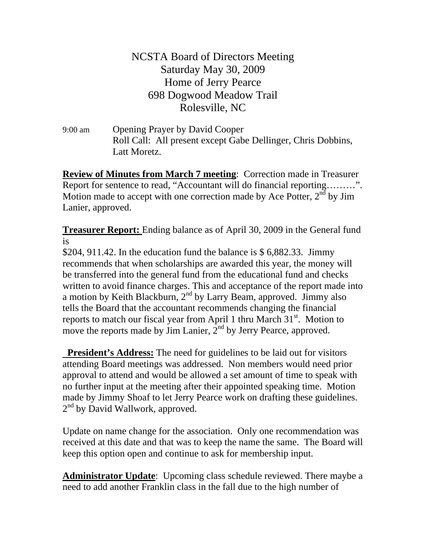NCSTA Board of Directors Meeting Saturday May 30, 2009 Home of Jerry Pearce 698 Dogwood Meadow Trail Rolesville, NC

9:00 am Opening Prayer by David Cooper Roll Call: All present except Gabe Dellinger, Chris Dobbins, Latt Moretz.

**Review of Minutes from March 7 meeting**: Correction made in Treasurer Report for sentence to read, "Accountant will do financial reporting………". Motion made to accept with one correction made by Ace Potter,  $2<sup>n</sup>$  by Jim Lanier, approved.

**Treasurer Report:**  Ending balance as of April 30, 2009 in the General fund is

\$204, 911.42. In the education fund the balance is  $$6,882.33$ . Jimmy recommends that when scholarships are awarded this year, the money will be transferred into the general fund from the educational fund and checks written to avoid finance charges. This and acceptance of the report made into a motion by Keith Blackburn,  $2<sup>nd</sup>$  by Larry Beam, approved. Jimmy also tells the Board that the accountant recommends changing the financial reports to match our fiscal year from April 1 thru March  $31<sup>st</sup>$ . Motion to move the reports made by Jim Lanier,  $2<sup>nd</sup>$  by Jerry Pearce, approved.

**President's Address:** The need for guidelines to be laid out for visitors attending Board meetings was addressed. Non members would need prior approval to attend and would be allowed a set amount of time to speak with no further input at the meeting after their appointed speaking time. Motion made by Jimmy Shoaf to let Jerry Pearce work on drafting these guidelines. 2<sup>nd</sup> by David Wallwork, approved.

Update on name change for the association. Only one recommendation was received at this date and that was to keep the name the same. The Board will keep this option open and continue to ask for membership input.

**Administrator Update**: Upcoming class schedule reviewed. There maybe a need to add another Franklin class in the fall due to the high number of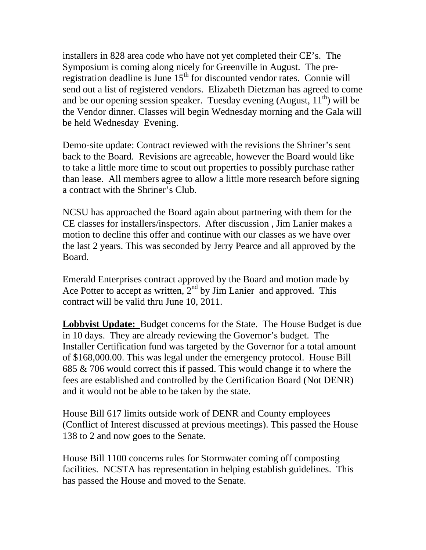installers in 828 area code who have not yet completed their CE's. The Symposium is coming along nicely for Greenville in August. The preregistration deadline is June  $15<sup>th</sup>$  for discounted vendor rates. Connie will send out a list of registered vendors. Elizabeth Dietzman has agreed to come and be our opening session speaker. Tuesday evening (August,  $11<sup>th</sup>$ ) will be the Vendor dinner. Classes will begin Wednesday morning and the Gala will be held Wednesday Evening.

Demo-site update: Contract reviewed with the revisions the Shriner's sent back to the Board. Revisions are agreeable, however the Board would like to take a little more time to scout out properties to possibly purchase rather than lease. All members agree to allow a little more research before signing a contract with the Shriner's Club.

NCSU has approached the Board again about partnering with them for the CE classes for installers/inspectors. After discussion , Jim Lanier makes a motion to decline this offer and continue with our classes as we have over the last 2 years. This was seconded by Jerry Pearce and all approved by the Board.

Emerald Enterprises contract approved by the Board and motion made by Ace Potter to accept as written,  $2<sup>nd</sup>$  by Jim Lanier and approved. This contract will be valid thru June 10, 2011.

**Lobbyist Update:** Budget concerns for the State. The House Budget is due in 10 days. They are already reviewing the Governor's budget. The Installer Certification fund was targeted by the Governor for a total amount of \$168,000.00. This was legal under the emergency protocol. House Bill 685 & 706 would correct this if passed. This would change it to where the fees are established and controlled by the Certification Board (Not DENR) and it would not be able to be taken by the state.

House Bill 617 limits outside work of DENR and County employees (Conflict of Interest discussed at previous meetings). This passed the House 138 to 2 and now goes to the Senate.

House Bill 1100 concerns rules for Stormwater coming off composting facilities. NCSTA has representation in helping establish guidelines. This has passed the House and moved to the Senate.